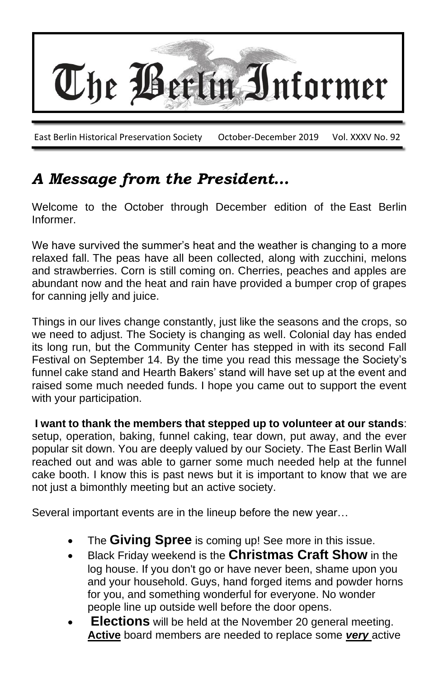

## *A Message from the President…*

Welcome to the October through December edition of the East Berlin Informer.

We have survived the summer's heat and the weather is changing to a more relaxed fall. The peas have all been collected, along with zucchini, melons and strawberries. Corn is still coming on. Cherries, peaches and apples are abundant now and the heat and rain have provided a bumper crop of grapes for canning jelly and juice.

Things in our lives change constantly, just like the seasons and the crops, so we need to adjust. The Society is changing as well. Colonial day has ended its long run, but the Community Center has stepped in with its second Fall Festival on September 14. By the time you read this message the Society's funnel cake stand and Hearth Bakers' stand will have set up at the event and raised some much needed funds. I hope you came out to support the event with your participation.

**I want to thank the members that stepped up to volunteer at our stands**: setup, operation, baking, funnel caking, tear down, put away, and the ever popular sit down. You are deeply valued by our Society. The East Berlin Wall reached out and was able to garner some much needed help at the funnel cake booth. I know this is past news but it is important to know that we are not just a bimonthly meeting but an active society.

Several important events are in the lineup before the new year…

- The **Giving Spree** is coming up! See more in this issue.
- Black Friday weekend is the **Christmas Craft Show** in the log house. If you don't go or have never been, shame upon you and your household. Guys, hand forged items and powder horns for you, and something wonderful for everyone. No wonder people line up outside well before the door opens.
- **Elections** will be held at the November 20 general meeting. **Active** board members are needed to replace some *very* active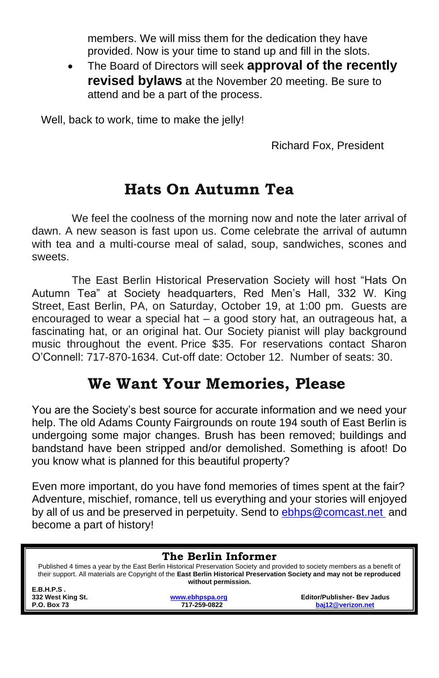members. We will miss them for the dedication they have provided. Now is your time to stand up and fill in the slots.

• The Board of Directors will seek **approval of the recently revised bylaws** at the November 20 meeting. Be sure to attend and be a part of the process.

Well, back to work, time to make the jelly!

Richard Fox, President

#### **Hats On Autumn Tea**

We feel the coolness of the morning now and note the later arrival of dawn. A new season is fast upon us. Come celebrate the arrival of autumn with tea and a multi-course meal of salad, soup, sandwiches, scones and sweets.

The East Berlin Historical Preservation Society will host "Hats On Autumn Tea" at Society headquarters, Red Men's Hall, 332 W. King Street, East Berlin, PA, on Saturday, October 19, at 1:00 pm. Guests are encouraged to wear a special hat – a good story hat, an outrageous hat, a fascinating hat, or an original hat. Our Society pianist will play background music throughout the event. Price \$35. For reservations contact Sharon O'Connell: 717-870-1634. Cut-off date: October 12. Number of seats: 30.

#### **We Want Your Memories, Please**

You are the Society's best source for accurate information and we need your help. The old Adams County Fairgrounds on route 194 south of East Berlin is undergoing some major changes. Brush has been removed; buildings and bandstand have been stripped and/or demolished. Something is afoot! Do you know what is planned for this beautiful property?

Even more important, do you have fond memories of times spent at the fair? Adventure, mischief, romance, tell us everything and your stories will enjoyed by all of us and be preserved in perpetuity. Send to [ebhps@comcast.net](mailto:ebhps@comcast.net) and become a part of history!

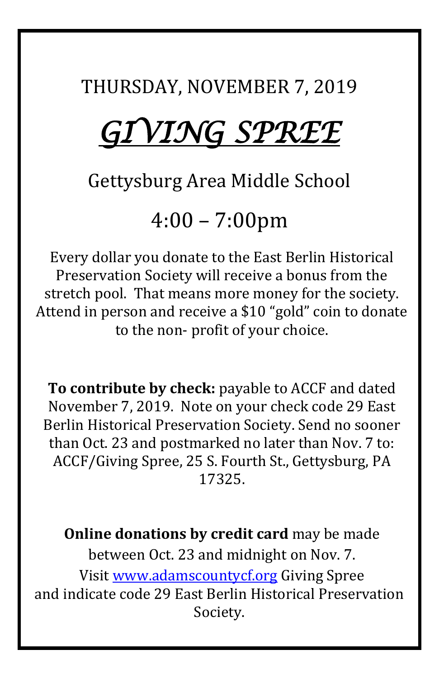THURSDAY, NOVEMBER 7, 2019

# *GIVING SPREE*

# Gettysburg Area Middle School

4:00 – 7:00pm

Every dollar you donate to the East Berlin Historical Preservation Society will receive a bonus from the stretch pool. That means more money for the society. Attend in person and receive a \$10 "gold" coin to donate to the non- profit of your choice.

**To contribute by check:** payable to ACCF and dated November 7, 2019. Note on your check code 29 East Berlin Historical Preservation Society. Send no sooner than Oct. 23 and postmarked no later than Nov. 7 to: ACCF/Giving Spree, 25 S. Fourth St., Gettysburg, PA 17325.

**Online donations by credit card** may be made between Oct. 23 and midnight on Nov. 7. Visit [www.adamscountycf.org](http://www.adamscountycf.org/) Giving Spree and indicate code 29 East Berlin Historical Preservation Society.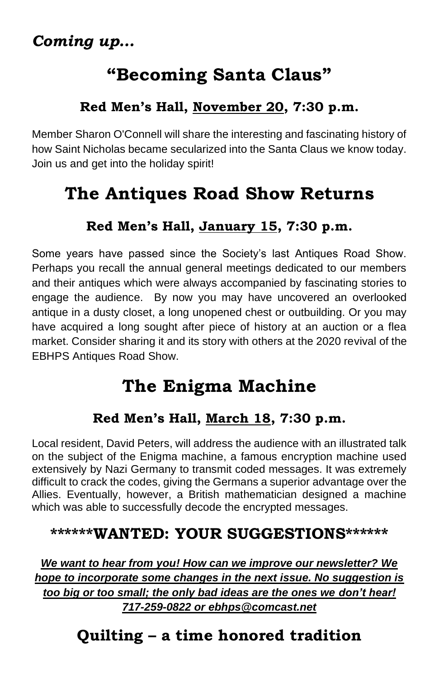# **"Becoming Santa Claus"**

#### **Red Men's Hall, November 20, 7:30 p.m.**

Member Sharon O'Connell will share the interesting and fascinating history of how Saint Nicholas became secularized into the Santa Claus we know today. Join us and get into the holiday spirit!

# **The Antiques Road Show Returns**

#### **Red Men's Hall, January 15, 7:30 p.m.**

Some years have passed since the Society's last Antiques Road Show. Perhaps you recall the annual general meetings dedicated to our members and their antiques which were always accompanied by fascinating stories to engage the audience. By now you may have uncovered an overlooked antique in a dusty closet, a long unopened chest or outbuilding. Or you may have acquired a long sought after piece of history at an auction or a flea market. Consider sharing it and its story with others at the 2020 revival of the EBHPS Antiques Road Show.

# **The Enigma Machine**

#### **Red Men's Hall, March 18, 7:30 p.m.**

Local resident, David Peters, will address the audience with an illustrated talk on the subject of the Enigma machine, a famous encryption machine used extensively by Nazi Germany to transmit coded messages. It was extremely difficult to crack the codes, giving the Germans a superior advantage over the Allies. Eventually, however, a British mathematician designed a machine which was able to successfully decode the encrypted messages.

## **\*\*\*\*\*\*WANTED: YOUR SUGGESTIONS\*\*\*\*\*\***

*We want to hear from you! How can we improve our newsletter? We hope to incorporate some changes in the next issue. No suggestion is too big or too small; the only bad ideas are the ones we don't hear! 717-259-0822 or ebhps@comcast.net*

# **Quilting – a time honored tradition**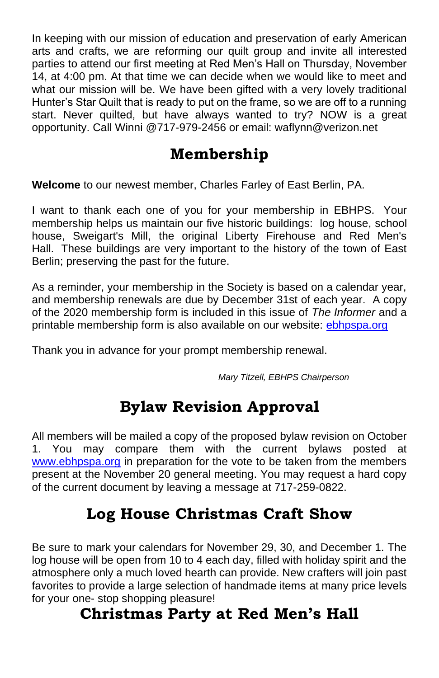In keeping with our mission of education and preservation of early American arts and crafts, we are reforming our quilt group and invite all interested parties to attend our first meeting at Red Men's Hall on Thursday, November 14, at 4:00 pm. At that time we can decide when we would like to meet and what our mission will be. We have been gifted with a very lovely traditional Hunter's Star Quilt that is ready to put on the frame, so we are off to a running start. Never quilted, but have always wanted to try? NOW is a great opportunity. Call Winni @717-979-2456 or email: waflynn@verizon.net

## **Membership**

**Welcome** to our newest member, Charles Farley of East Berlin, PA.

I want to thank each one of you for your membership in EBHPS. Your membership helps us maintain our five historic buildings: log house, school house, Sweigart's Mill, the original Liberty Firehouse and Red Men's Hall. These buildings are very important to the history of the town of East Berlin; preserving the past for the future.

As a reminder, your membership in the Society is based on a calendar year, and membership renewals are due by December 31st of each year. A copy of the 2020 membership form is included in this issue of *The Informer* and a printable membership form is also available on our website: [ebhpspa.org](http://ebhpspa.org/)

Thank you in advance for your prompt membership renewal.

 *Mary Titzell, EBHPS Chairperson*

## **Bylaw Revision Approval**

All members will be mailed a copy of the proposed bylaw revision on October 1. You may compare them with the current bylaws posted at [www.ebhpspa.org](http://www.ebhpspa.org/) in preparation for the vote to be taken from the members present at the November 20 general meeting. You may request a hard copy of the current document by leaving a message at 717-259-0822.

### **Log House Christmas Craft Show**

Be sure to mark your calendars for November 29, 30, and December 1. The log house will be open from 10 to 4 each day, filled with holiday spirit and the atmosphere only a much loved hearth can provide. New crafters will join past favorites to provide a large selection of handmade items at many price levels for your one- stop shopping pleasure!

#### **Christmas Party at Red Men's Hall**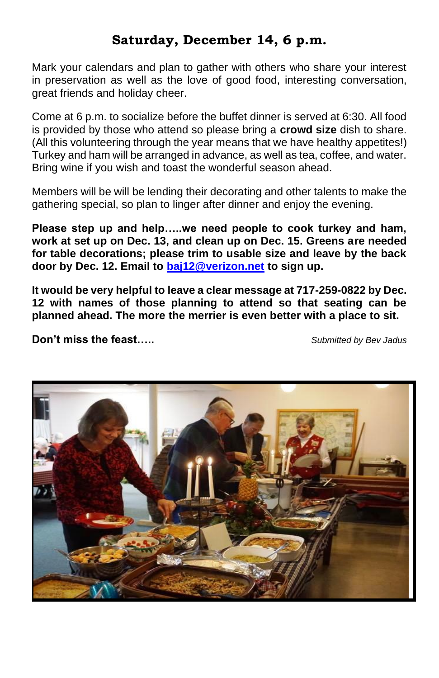#### **Saturday, December 14, 6 p.m.**

Mark your calendars and plan to gather with others who share your interest in preservation as well as the love of good food, interesting conversation, great friends and holiday cheer.

Come at 6 p.m. to socialize before the buffet dinner is served at 6:30. All food is provided by those who attend so please bring a **crowd size** dish to share. (All this volunteering through the year means that we have healthy appetites!) Turkey and ham will be arranged in advance, as well as tea, coffee, and water. Bring wine if you wish and toast the wonderful season ahead.

Members will be will be lending their decorating and other talents to make the gathering special, so plan to linger after dinner and enjoy the evening.

**Please step up and help…..we need people to cook turkey and ham, work at set up on Dec. 13, and clean up on Dec. 15. Greens are needed for table decorations; please trim to usable size and leave by the back door by Dec. 12. Email to [baj12@verizon.net](mailto:baj12@verizon.net) to sign up.** 

**It would be very helpful to leave a clear message at 717-259-0822 by Dec. 12 with names of those planning to attend so that seating can be planned ahead. The more the merrier is even better with a place to sit.**

**Don't miss the feast…..** *Submitted by Bev Jadus*

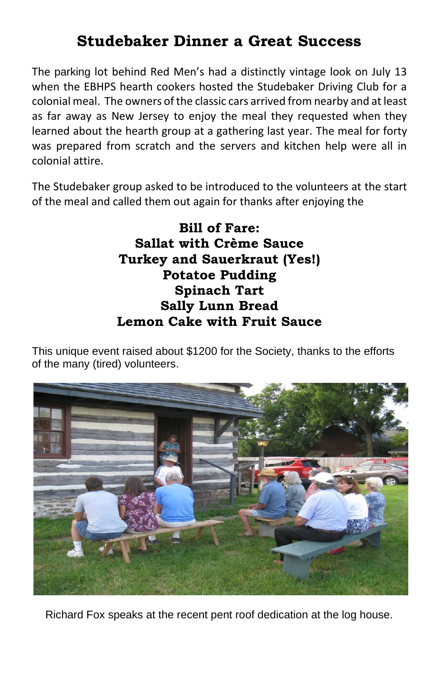## **Studebaker Dinner a Great Success**

The parking lot behind Red Men's had a distinctly vintage look on July 13 when the EBHPS hearth cookers hosted the Studebaker Driving Club for a colonial meal. The owners of the classic cars arrived from nearby and at least as far away as New Jersey to enjoy the meal they requested when they learned about the hearth group at a gathering last year. The meal for forty was prepared from scratch and the servers and kitchen help were all in colonial attire.

The Studebaker group asked to be introduced to the volunteers at the start of the meal and called them out again for thanks after enjoying the

> **Bill of Fare: Sallat with Crème Sauce Turkey and Sauerkraut (Yes!) Potatoe Pudding Spinach Tart Sally Lunn Bread Lemon Cake with Fruit Sauce**

This unique event raised about \$1200 for the Society, thanks to the efforts of the many (tired) volunteers.



Richard Fox speaks at the recent pent roof dedication at the log house.